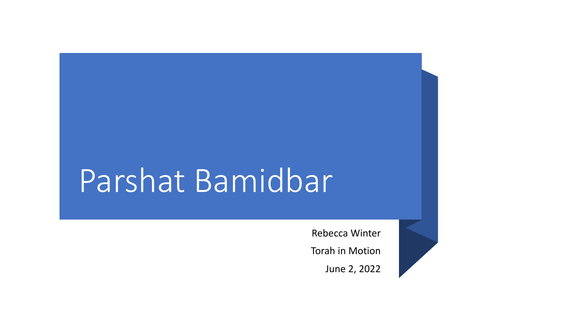# Parshat Bamidbar

Rebecca Winter Torah in Motion June 2, 2022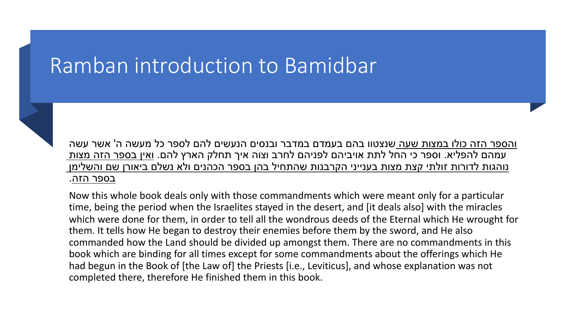#### Ramban introduction to Bamidbar



<u>והספר הזה כולו במצות שעה ש</u>נצטוו בהם בעמדם במדבר ובנסים הנעשים להם לספר כל מעשה ה' אשר עשה עמהם להפליא. וספר כי החל לתת אויביהם לפניהם לחרב וצוה איך תחלק הארץ להם. ואין בספר הזה מצות נוהגות לדורות זולתי קצת מצות בענייני הקרבנות שהתחיל בהן בספר הכהנים ולא נשלם ביאורן שם והשלימן בספר הזה.

Now this whole book deals only with those commandments which were meant only for a particular time, being the period when the Israelites stayed in the desert, and [it deals also] with the miracles which were done for them, in order to tell all the wondrous deeds of the Eternal which He wrought for them. It tells how He began to destroy their enemies before them by the sword, and He also commanded how the Land should be divided up amongst them. There are no commandments in this book which are binding for all times except for some commandments about the offerings which He had begun in the Book of [the Law of] the Priests [i.e., Leviticus], and whose explanation was not completed there, therefore He finished them in this book.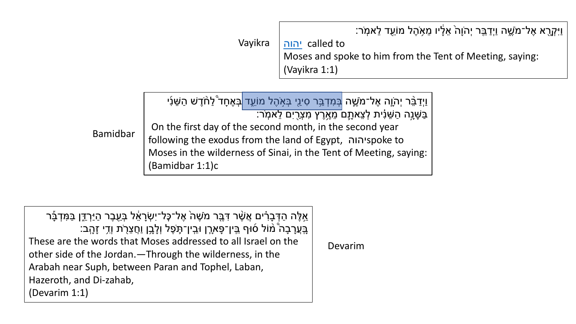:זׂר

Vayikra

called to יהוה Moses and spoke to (Vayikra 1:1)

ֿמֹשֶׁה <mark>בְּמִדְבַּר סִינֵי בְּאָהֶל מוֹעֵד </mark>בְּאֶחָד <u>ּ</u>לַחֹדֶשׁ הַשֵּׁנִי 'צֵאתָם מֵאֶרֶץ מִצְרֵיִם לֵאמְר: On the first day of the second month, in the secor **Bamidbar** following the exodus from the land of Egypt, יהוה Moses in the wilderness of Sinai, in the Tent of Me (Bamidbar 1:1)c

אֱלֶה הַדְּבָרִ֫ים אֲשֶׁר דְּבֶּר מֹשֶׁה אֶל־כָּל־יִשְׂרָאֵ֫ל בְּעֻבֶר הַיַּרְדֶּן בַּמִּדְבָּר בְּעֲרָבָה ۚמֹוֹל 6וּף בִּין־פָּארֶן וּבִין־תֶּפֶל וְלָבֶן וַחֲצֵרֹת וְדֵי זָהֲב: These are the words that Moses addressed to all Israel on the other side of the Jordan. - Through the wilderness, in the Arabah near Suph, between Paran and Tophel, Laban, Hazeroth, and Di-zahab, (Devarim 1:1)

Devarim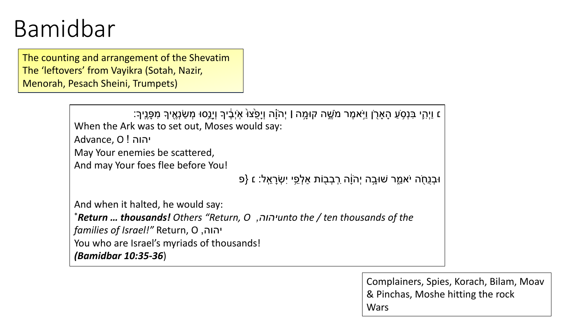### Bamidbar

The counting and arrangement of the Shevatim The 'leftovers' from Vayikra (Sotah, Nazir, Menorah, Pesach Sheini, Trumpets)

| ַז וַיְהָי בִּנְסָעַ הָאָרָן וַיַּאמֶר מֹשֶׁה קוּמָה   יְהֹוָה וְיָפֵצוּ אִיְבֶדוּךְ וְיָנָסוּ מְשַׂנְאֶיךָ מִפָּנֵיךָ<br>When the Ark was to set out, Moses would say: |
|-------------------------------------------------------------------------------------------------------------------------------------------------------------------------|
| יהוה! Advance, O                                                                                                                                                        |
| May Your enemies be scattered,                                                                                                                                          |
| And may Your foes flee before You!                                                                                                                                      |
| וּבְנֻחֻׂה יֹאמֵר שׁוּבָה יְהֹוָה רִבְבָוֹת אַלְפֵי יִשְׂרָאֵל: ε {פ                                                                                                    |
| And when it halted, he would say:                                                                                                                                       |
| * <b>Return  thousands!</b> Others "Return, O ,יהוה, "Return and the / ten thousands of the                                                                             |
| יהוה, Return, O יהוה, <i>families of Israel!"</i> Return                                                                                                                |
| You who are Israel's myriads of thousands!<br><i>(Bamidbar 10:35-36)</i>                                                                                                |

Complainers, Spies, Korach, Bilam, Moav & Pinchas, Moshe hitting the rock **Wars**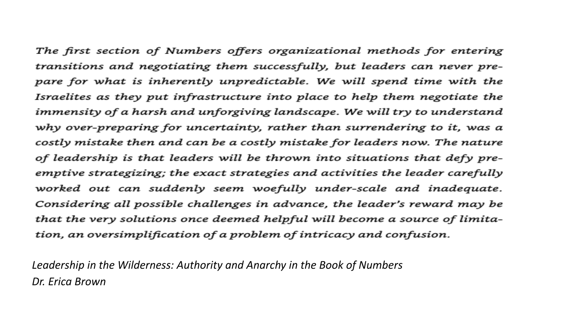The first section of Numbers offers organizational methods for entering transitions and negotiating them successfully, but leaders can never prepare for what is inherently unpredictable. We will spend time with the Israelites as they put infrastructure into place to help them negotiate the immensity of a harsh and unforgiving landscape. We will try to understand why over-preparing for uncertainty, rather than surrendering to it, was a costly mistake then and can be a costly mistake for leaders now. The nature of leadership is that leaders will be thrown into situations that defy preemptive strategizing; the exact strategies and activities the leader carefully worked out can suddenly seem woefully under-scale and inadequate. Considering all possible challenges in advance, the leader's reward may be that the very solutions once deemed helpful will become a source of limitation, an oversimplification of a problem of intricacy and confusion.

*Leadership in the Wilderness: Authority and Anarchy in the Book of Numbers Dr. Erica Brown*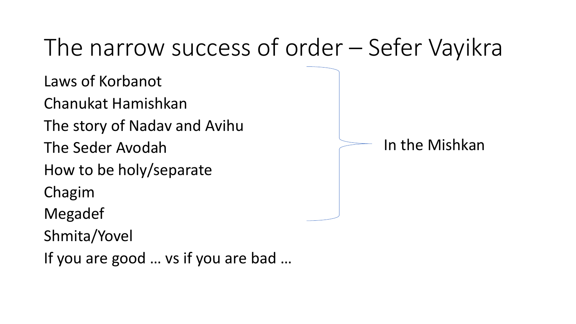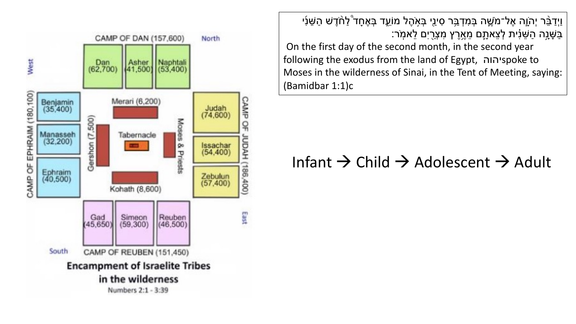

וַיְדַבֵּ֫ר יְהֹוֶה אֶל־מֹשֶׁה בְּמִדְבֵּר סִינֵי בְּאָהֶל מוֹעֵד בְּאֶחָד ۚלַחֹדֶשׁ הַשֵּׁנִי ַבַּשָּׁנָָה הַשֵּׁנִית לְצֵאתֶם מֵאֶרֶץ מִצְרֻיִם לֵאמְר:

On the first day of the second month, in the second year following the exodus from the land of Egypt, והוה Moses in the wilderness of Sinai, in the Tent of Meeting, saying: (Bamidbar 1:1)c

#### Infant  $\rightarrow$  Child  $\rightarrow$  Adolescent  $\rightarrow$  Adult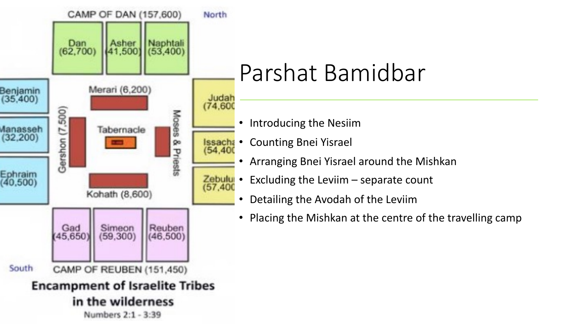

## Parshat Bamidbar

- Introducing the Nesiim
- Counting Bnei Yisrael
- Arranging Bnei Yisrael around the Mishkan
- Excluding the Leviim  $-$  separate count
	- Detailing the Avodah of the Leviim
	- Placing the Mishkan at the centre of the travelling camp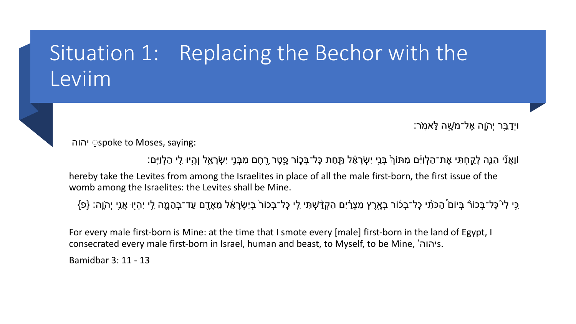### Situation 1: Replacing the Bechor with the Leviim

ויְַדֵ֥בּר יְהָֹ֖וה ֶאל־מֶֹ֥שׁה ֵלּא ֽמֹר׃

יהוה◌ ַ spoke to Moses, saying:

וַוַּאֲנִי הִגֶּה לָקֵחְתִּי אֶת־הַלְוִיָּם מִתּוֹךְ בְּנֵי יִשְׂרָאֵ֫ל תַּחַת כָּל־בְּכֶוֹר פֶּטֶר רֶחֶם מִבְּנֵי יִשְׂרָאֵל וְהֶיוּ לִי הַלְוֵיִם:

hereby take the Levites from among the Israelites in place of all the male first-born, the first issue of the womb among the Israelites: the Levites shall be Mine.

ַּכִּי לִי ּכָּל־בְּכוֹרֿ בְּיוֹם הַכּוֹתִ כָל־בְּכוֹר בְּאֶרֶץ מִצְרַ֫יִם הִקְדַּשְׁתִּי לִי כָל־בְּכוֹר בְּיִשְׂרָאֵ֫ל מֵאָדֶם עַד־בְּהֵמֶה לִי יִהְיֻוּ אֲנִי יְהוֶה: {פ}

For every male first-born is Mine: at the time that I smote every [male] first-born in the land of Egypt, I consecrated every male first-born in Israel, human and beast, to Myself, to be Mine, 's.

Bamidbar 3: 11 - 13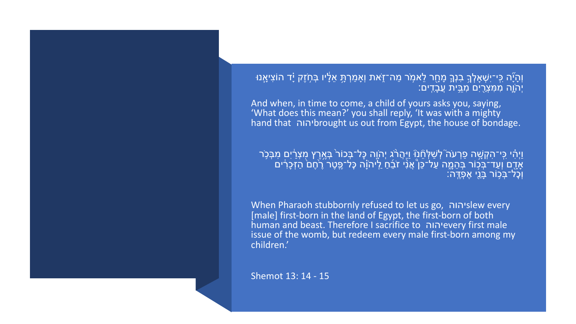וְהָיָّה כִּי־יִשְׁאָלְךָ בִנְךֶ מָחֻר לֵאמְר מַה־זֶאת וְאָמַרְתָּ אֵלָיו בְּחָזֶק יָד הוֹצִיאָנוּ **וֹ** יְהֹוֶה מִמְּצְרֵיִם מְבֵּית וְ<u>עַבָ</u>דִים:

And when, in time to come, a child of yours asks you, saying, 'What does this mean?' you shall reply, 'It was with a mighty hand that **intry of the bought** us out from Egypt, the house of bondage.

וַיְהִ֫י כִּי־הִקְשֶׁה פַרְעֹה ۚלְשַׁלְּחֵ֖נֹוּ וַיַּהֲרֹג יְהֹוֶה כְּל־בְּכוֹר בְּאֶרֶץ מְצְרַ֫יִם מִבְּכִר |<br>אֶדֶם וְעַד־בְּכוֹר בְּהֵמֱה עַל־כֵּן ۚאֲנִי זֹבֵמ לְיהוָה כָּל־פֶטֶר רֶמֶם הַזְּכָרִים<br>|נְכָל־בְּכִוֹר בָּנֵי

When Pharaoh stubbornly refused to let us go, וואולוהוה [male] first-born in the land of Egypt, the first-born of both human and beast. Therefore I sacrifice to חוה every first male issue of the womb, but redeem every male first-born among my children.'

Shemot 13: 14 - 15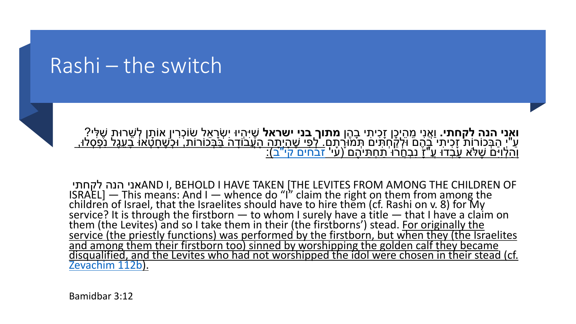#### Rashi – the switch



ָי בָהֶן **מתוך ָבניִ ישראל** שֶׁיִּהְיוּ יִשְׂרָאֵלְ שִׂוֹכְרִין ָאוֹתָן לְשֵׁרוּת שֶׁלִּי? ֶּהְמֹוֹרָתָם "לְפַי שֶׁהַיְתָה הַעֲׁבֹוֹדָה בַּבְּכוֹרוֹת, וּלְשֶׁחֲטָׁאוּ בַעֲגֶל נַפְסְלוּ,<br>ניהֶם (עי' זבחים קי"ב):

י הנה לקחתי AND I, BEHOLD I HAVE TAKEN [THE LEVITES FROM AND I ISRAEL] — This means: And I — whence do "I" claim the right<br>children of Israel, that the Israelites should have to hire them<br>service? It is through the firstborn — to whom I surely have a them (the Levites) and so I take them in their (the firstborns') service? It is through the firstborn — to whom I surely have a them (the Levites) and so I take them in their (the firstborns') service (the priestly functio and among them their firstborn too) sinned by worshipping the disqualified, and the Levites who had not worshipped the ido Zevachim 112b).

Bamidbar 3:12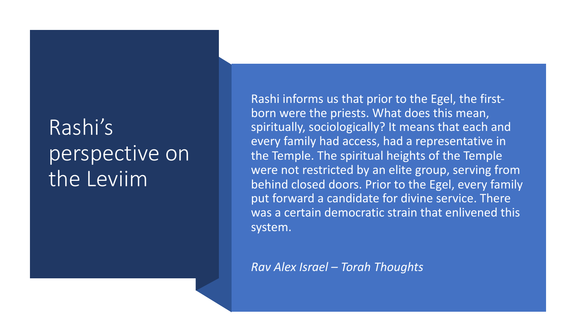### Rashi's perspective on the Leviim

Rashi informs us that prior to the Egel, the firstborn were the priests. What does this mean, spiritually, sociologically? It means that each and every family had access, had a representative in the Temple. The spiritual heights of the Temple were not restricted by an elite group, serving from behind closed doors. Prior to the Egel, every family put forward a candidate for divine service. There was a certain democratic strain that enlivened this system.

*Rav Alex Israel – Torah Thoughts*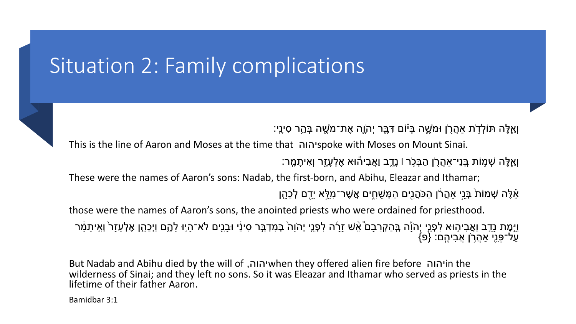### Situation 2: Family complications

וְאֵלֶּה תּוֹלְדָׂת אַהֲרָן וּמֹשֶׁה בְּיֹוֹם דְּבֶּר יְהֹוֶה אֶת־מֹשֶׁה בְּהַר סִינָי:

This is the line of Aaron and Moses at the time that ו־spoke with Moses on Mount Sinai. וְאֱלֶה שְׁמָוֹת בְּנֵי־אַהֲרֻן הַבְּכְֹר וֹ נָדֶב וַאֲבִיהוּא אֶלְעָזֶר וְאִיתָמֶר:

These were the names of Aaron's sons: Nadab, the first-born, and Abihu, Eleazar and Ithamar; ֹאֵלֶּה שְׁמוֹת בְּנֵי אַהֲרֹׂן הַכֹּהֲנִים הַמְּשֶׁחֶים אֲשֶׁר־מְלֵּא יַדֶם לְכַּהֵן

those were the names of Aaron's sons, the anointed priests who were ordained for priesthood.

וַיָּמְת נָדֶב וַאֲבִיהוּא לִפְנֵי יְהֹוֶה בְּהַקְרִבָם ۚאֵשׁ זָרָה לִפְנֵי יְהֹוָה בְּמִדְבַּר סִינַּי וּבָנִים לֹא־הָיִוּ לָהֶם וַיְכַהֵן אֶלְעָזָר וְאִיתָמָּ֫ר<br>עַל־פְּנֵי אַהֲרָן אֲבִיהֶם: {פּ}

But Nadab and Abihu died by the will of והוה when they offered alien fire before יהוה wilderness of Sinai; and they left no sons. So it was Eleazar and Ithamar who served as priests in the lifetime of their father Aaron.

Bamidbar 3:1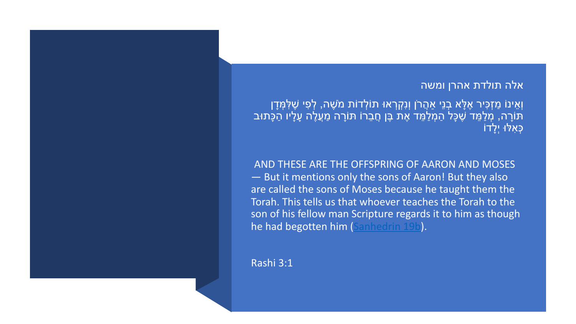<sub>ָ</sub>זְדוֹת מֹשֶׁה, לְפִי שֶׁלִּמְּדָן ָרוֹ תּוֹרָה מַעֲלֶה עָלָיו הַכָּתוּב

AND THESE ARE THE OFF  $-$  But it mentions only the are called the sons of Mo Torah. This tells us that w son of his fellow man Scri he had begotten him (San

Rashi 3:1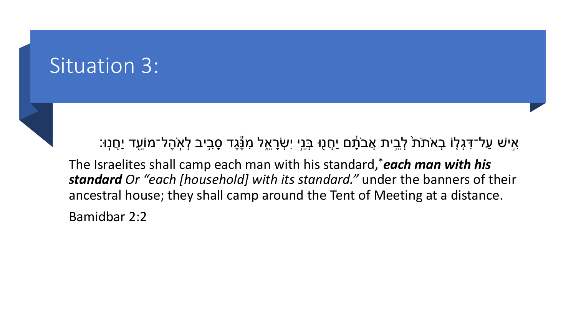#### Situation 3:

ּאִישׁ עַל־דִּגְלָוֹ בְאֹתֹת<sup>ָ</sup> לְבֵית אֲבֹתָׁם יַחֲנָוּ בְּנֵיָ יִשְׂרָאֵל מִנֶּגֶד סָבִיב לְאִהֶל־מוֹעֵד יַחֲנְוּ: ֕ ֖

The Israelites shall camp each man with his standard,\**each man with his standard Or "each [household] with its standard."* under the banners of their ancestral house; they shall camp around the Tent of Meeting at a distance.

Bamidbar 2:2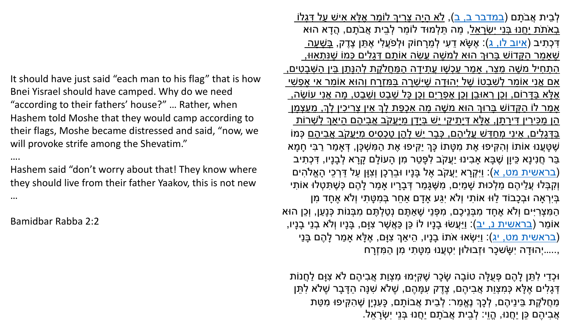It should have just said "each man to his flag" that is how Bnei Yisrael should have camped. Why do we need "according to their fathers' house?" … Rather, when Hashem told Moshe that they would camp according to their flags, Moshe became distressed and said, "now, we will provoke strife among the Shevatim."

….

Hashem said "don't worry about that! They know where they should live from their father Yaakov, this is not new …

Bamidbar Rabba 2:2

<u>אֵלַּא אִישׁ עַל דְּגָלוֹ</u> <u>ְ</u>נֹתַם, הֲדֵא הוּא ָּתֵן צֶדֶק, <u>בְּשָׁעָה</u> ִי<u>ם כָּמוֹ שֶׁנִּתְאָוּו<sub>ֹ.</sub> </u> ָלְהַנֵּתֵן בֵּין הִשָּׁבַטִים, <mark>וְהוּא אוֹמֵר אַי א</mark>ֵפָשׁי <mark>ֶּיבֶט, מַה אֲנִי עוֹש</mark>ֶׂה, <u>ן צְריכִין לְךָ, מֵעַצְמָן</u> ַיהֶם הֵיאַךְ לְשָׁרוֹת ָׁמִיּעֲקֹב אֲבִיהֵם כָּמוֹ <u>ׁמִי</u> ֶשׁ ָטֲּענוּ אוֹתוֹ וְ ִה ִקּיפוּ ֶאת ִמ ָטּתוֹ ָכּu יַ ִקּיפוּ ֶאת ַה ִמּ ְשׁ ָכּן, ְדּאָ ַמר ַר ִבּי ָח ָמא ַיָּנָרָא לְבָנָיו, דְּכְתִיב ִ ְקָרא יֲַעקֹב ֶאל ָבּנָיו וּ ֵב ְר ָכן וְ ִצָוּן ַעל ַדּ ְר ֵכי ָהֱאq ִהים ָלָהֶם *בְּשֶׁ*תָּטְלוּ אוֹתִי ָדִי וְלֹא אֶחָד מִן ַמִּבְּנוֹת כְּנָעַן, וְכֵן הוּא ָם, בָ<mark>ּנָיו וְלֹא בְנֵי בָנָיו,</mark> ַי ִ ְשׂאוּ אֹתוֹ ָבנָיו, ֵהי ַאu ִצָוּם, ֶא ָלּא אָ ַמר ָל ֶהם ָבּנ  $\mathsf{r}$ 

```
ָיהֶם לֹא צְוַּם לַחֲנוֹת:
ֶּה הַדָּבָר שֶׁלֹא לִתֵּן
      ַשְׁהַקִּיפוּ מִטַּת
                          ֵי יִ ְשָׂר ֵאל.
```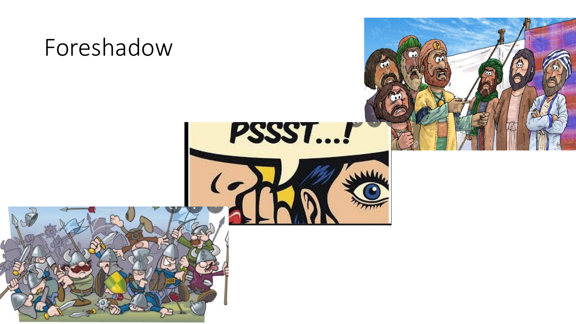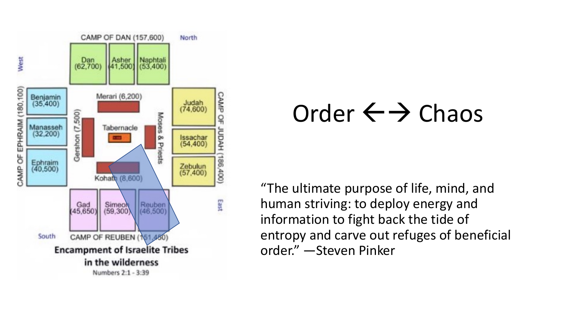

## Order  $\leftarrow$   $\rightarrow$  Chaos

"The ultimate purpose of life, mind, and human striving: to deploy energy and information to fight back the tide of entropy and carve out refuges of beneficial order." - Steven Pinker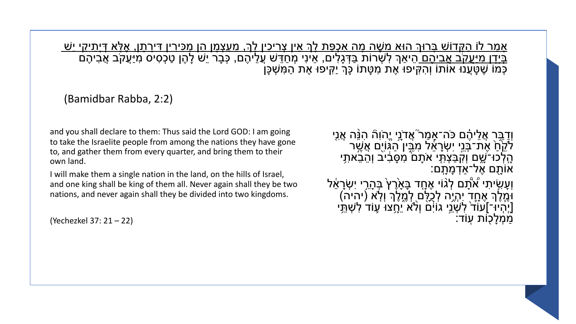<u>אָמר לוֹ הַקְּדוֹשׁ בָּרוּךְ הוּא משָׁה מָה אַכְפַּת לְךָ אִין צְריכִין לְךָ, מַעַצְמָן הֵן מַכִּירין דִּירָתָן, אֶלָא דְיָתִיקִי יֵשׁ</u> בִּיָדָן מַיַּעֲקֹב <u>אָבִיהֶם ה</u>ֵיאַךְ לְשְׁרוֹת בַּדְּגָלִים, אֵינִי מְחַדֵּשׁ עֲלֵיהֶם, כְּבָר יֵשׁ לָהֶן טַכְסִיס מִיַּעֲקֹב אֲבִיהֶם<br>כְּמֹוֹ שֶׁטַּעֲנוּ אוֹתוֹ וְהִקִּיפוּ אֶת מִטָּתוֹ כָּךְ יַקִּיפוּ אֶת הַמִּשְׁכָּן

(Bamidbar Rabba, 2:2)

and you shall declare to them: Thus said the Lord GOD: I am going to take the Israelite people from among the nations they have gone to, and gather them from every quarter, and bring them to their own land.

I will make them a single nation in the land, on the hills of Israel, and one king shall be king of them all. Never again shall they be two nations, and never again shall they be divided into two kingdoms.

(Yechezkel 37: 21 – 22)

וְדַבֵּר אֲלֵיהֶם כֹּה־אָמַר ֹאֲדֹנֵי יֱהֹוִהٞ הִנֵּה אֲנִי לֹקֶׂחַ אֶת־בְּנֵי יִשְׂרָאֵל מְבֵין הַגְּוֹיֶם אֲשֶׁר הָלְכוּ־ֹשֶׁם וְקִבַּצְתִּי אֹתָם ׁמְסַּבִיב וְהֵבֵאתִי<br>אוֹתֶם אֶל־אַדְמָתָם: ֿוְעָשִׂיתִי אُתָֿם לְגוֹי אֶחֶד בָּאָׂרֶץ בְּהָרֵי יִשְׂרָאֵל ֧֧֖֖֖֚֚֚֚֚֝֟֓֓֝֬<br>֧֚֚֝<br>ׇׇ֖֖֖֖֖֖֖֖֧֧֖֖֖֧֖֖֧֧֧֚֚֚֚֚֚֚֚֚֚֚֚֚֚֚֚֚֚֚֚֚֚֚֚֚֚֚֚֚֚֚֚֚֝֝֬֝֓֝֓֝֬֝֬֝֬֝֬֝֬ וֹמֶלֶךְ אֶחֶד יִהְיֶה לְכֵלֵם לְמֶלֶךְ וְלָא (יהיה) [יִיהְיוּ־]עוֹד לִשְׁנֵי גוֹיִּם וְלֹא יֵחֲצוּ עָוֹד לִשְׁתֵ*ּ*י ַמְמָלַכְוֹת עוֹד: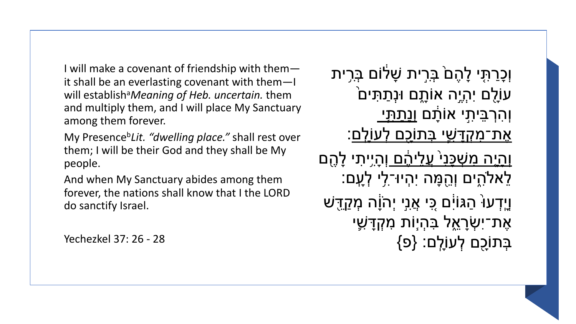I will make a covenant of friendship with them $$ it shall be an everlasting covenant with them-I will establish<sup>a</sup>Meaning of Heb. uncertain. them and multiply them, and I will place My Sanctuary among them forever.

My Presence<sup>b</sup>Lit. "dwelling place." shall rest over them; I will be their God and they shall be My people.

And when My Sanctuary abides among them forever, the nations shall know that I the LORD do sanctify Israel.

Yechezkel 37: 26 - 28

וְכַרַתְּי לָהֶםۢ בְּרִית שָׁלֹוֹם בְּרִית ּעוֹלֵם יְהִיֵה אוֹתֻם וּנְתַתִּים ׁ וְהִרְבֵּיתִי אוֹתֵׁם ו<u>ַנִּתתִּי</u> ֹאֵת־מְקִדַּשִׁי בְּתוֹכַם לְעוֹלִם: <u>וְהיָה מִשְׁכַּנִי עֲלֵיהֶם וְהָי</u>ִיתִי לָהֶם לֵאלֹהִים וְהֻמָּה יִהְיוּ־לִי לְעָם: ּ וַיִדְעוֹּ הַגּוֹיָם כֵּי אֲנִי יִהוֹ<u>ַ</u>ה מִקַדֵּשׁ אֶת־יִשְׂרָאֱל בִּהְיָוֹת מִקְדָּשָׁי בְּתוֹכָם לְעוֹלֵם: {פּ}